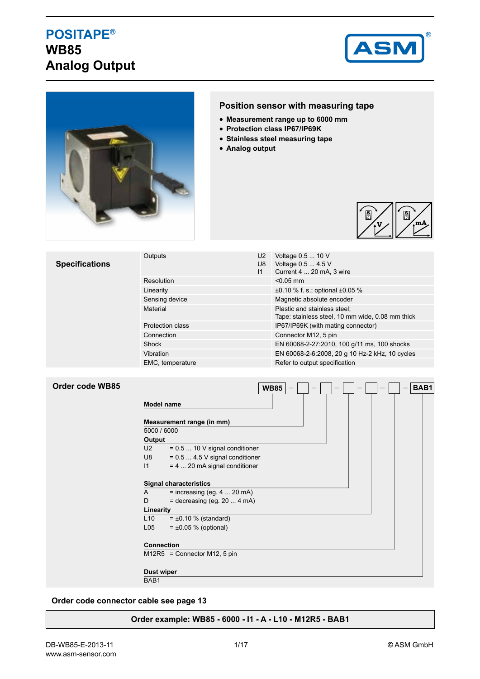## **POSITAPE® WB85 Analog Output**





## **Position sensor with measuring tape**

- **Measurement range up to 6000 mm**
- **Protection class IP67/IP69K**
- **Stainless steel measuring tape**
- **Analog output**



| <b>Specifications</b> | Outputs                 | U <sub>2</sub><br>U8<br>11 | Voltage 0.5  10 V<br>Voltage 0.5  4.5 V<br>Current 4  20 mA, 3 wire              |  |  |
|-----------------------|-------------------------|----------------------------|----------------------------------------------------------------------------------|--|--|
|                       | Resolution              |                            | $< 0.05$ mm                                                                      |  |  |
|                       | Linearity               |                            | $\pm 0.10$ % f. s.; optional $\pm 0.05$ %                                        |  |  |
|                       | Sensing device          |                            | Magnetic absolute encoder                                                        |  |  |
|                       | Material                |                            | Plastic and stainless steel;<br>Tape: stainless steel, 10 mm wide, 0.08 mm thick |  |  |
|                       | <b>Protection class</b> |                            | IP67/IP69K (with mating connector)                                               |  |  |
|                       | Connection              |                            | Connector M12, 5 pin                                                             |  |  |
|                       | Shock                   |                            | EN 60068-2-27:2010, 100 g/11 ms, 100 shocks                                      |  |  |
|                       | Vibration               |                            | EN 60068-2-6:2008, 20 g 10 Hz-2 kHz, 10 cycles                                   |  |  |
|                       | EMC, temperature        |                            | Refer to output specification                                                    |  |  |

|  |  | Order code WB85 |
|--|--|-----------------|
|--|--|-----------------|

|                   | <b>WB85</b>                      | BAB1 |
|-------------------|----------------------------------|------|
| <b>Model name</b> |                                  |      |
|                   | Measurement range (in mm)        |      |
| 5000 / 6000       |                                  |      |
| Output            |                                  |      |
| U2                | $= 0.5$ 10 V signal conditioner  |      |
| U8                | $= 0.5$ 4.5 V signal conditioner |      |
| $\mathsf{I}$      | $= 4$ 20 mA signal conditioner   |      |
|                   |                                  |      |
|                   | <b>Signal characteristics</b>    |      |
| A                 | $=$ increasing (eg. 4  20 mA)    |      |
| D                 | $=$ decreasing (eg. 20  4 mA)    |      |
| Linearity         |                                  |      |
| L10               | $= \pm 0.10 \%$ (standard)       |      |
| L05               | $= \pm 0.05$ % (optional)        |      |
|                   |                                  |      |
| <b>Connection</b> |                                  |      |
|                   | $M12R5 =$ Connector M12, 5 pin   |      |
|                   |                                  |      |
| Dust wiper        |                                  |      |

BAB<sub>1</sub>

**Order code connector cable see page 13**

#### **Order example: WB85 - 6000 - I1 - A - L10 - M12R5 - BAB1**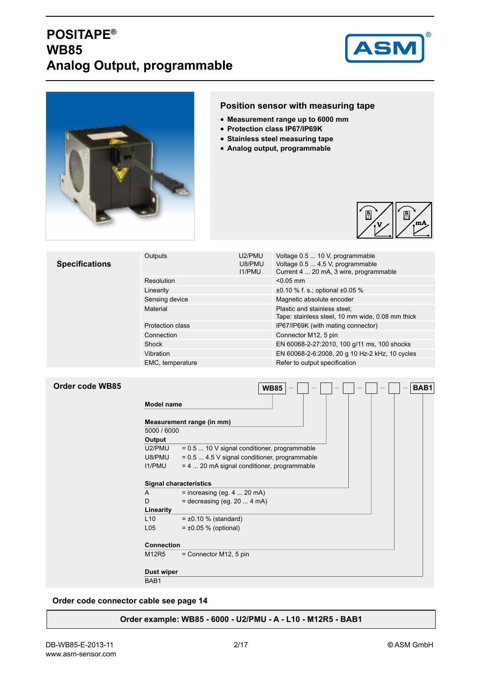# **POSITAPE® WB85 Analog Output, programmable**





### **Position sensor with measuring tape**

- **Measurement range up to 6000 mm**
- **Protection class IP67/IP69K**
- **Stainless steel measuring tape**
- **Analog output, programmable**



| <b>Specifications</b> | Outputs                 | U2/PMU<br>U8/PMU<br><b>I1/PMU</b> | Voltage 0.5  10 V, programmable<br>Voltage 0.5  4.5 V, programmable<br>Current 4  20 mA, 3 wire, programmable |  |  |  |  |
|-----------------------|-------------------------|-----------------------------------|---------------------------------------------------------------------------------------------------------------|--|--|--|--|
|                       | Resolution              |                                   | $< 0.05$ mm                                                                                                   |  |  |  |  |
|                       | Linearity               |                                   | $\pm 0.10$ % f. s.; optional $\pm 0.05$ %                                                                     |  |  |  |  |
|                       | Sensing device          |                                   | Magnetic absolute encoder                                                                                     |  |  |  |  |
|                       | Material                |                                   | Plastic and stainless steel;<br>Tape: stainless steel, 10 mm wide, 0.08 mm thick                              |  |  |  |  |
|                       | <b>Protection class</b> |                                   | IP67/IP69K (with mating connector)                                                                            |  |  |  |  |
|                       | Connection              |                                   | Connector M12, 5 pin                                                                                          |  |  |  |  |
|                       | Shock                   |                                   | EN 60068-2-27:2010, 100 g/11 ms, 100 shocks                                                                   |  |  |  |  |
|                       | Vibration               |                                   | EN 60068-2-6:2008, 20 g 10 Hz-2 kHz, 10 cycles                                                                |  |  |  |  |
|                       | EMC, temperature        |                                   | Refer to output specification                                                                                 |  |  |  |  |

### **Order code WB85**

| <b>Model name</b> |                                               |  |
|-------------------|-----------------------------------------------|--|
|                   | Measurement range (in mm)                     |  |
| 5000 / 6000       |                                               |  |
| Output            |                                               |  |
| U2/PMU            | = 0.5  10 V signal conditioner, programmable  |  |
| U8/PMU            | = 0.5  4.5 V signal conditioner, programmable |  |
| <b>I1/PMU</b>     | $= 4$ 20 mA signal conditioner, programmable  |  |
|                   | <b>Signal characteristics</b>                 |  |
| $\mathsf{A}$      | $=$ increasing (eg. 4  20 mA)                 |  |
| D                 | $=$ decreasing (eg. 20  4 mA)                 |  |
| Linearity         |                                               |  |
| L10               | $= \pm 0.10$ % (standard)                     |  |
| L <sub>05</sub>   | $= \pm 0.05$ % (optional)                     |  |
| <b>Connection</b> |                                               |  |
| M12R5             | $=$ Connector M12, 5 pin                      |  |
| <b>Dust wiper</b> |                                               |  |

#### **Order code connector cable see page 14**

#### **Order example: WB85 - 6000 - U2/PMU - A - L10 - M12R5 - BAB1**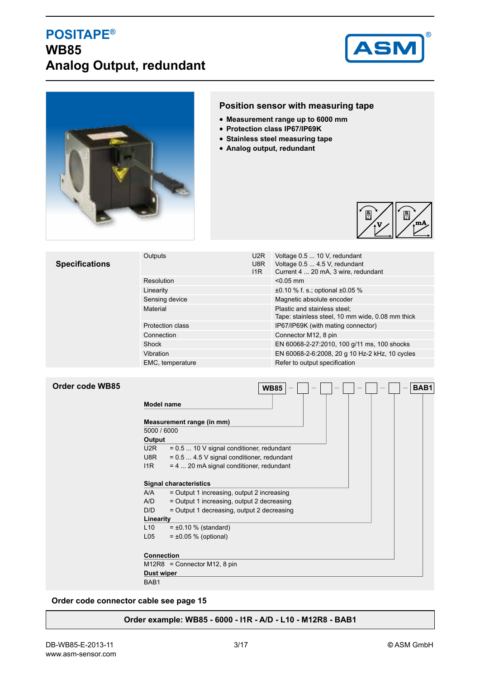## **POSITAPE® WB85 Analog Output, redundant**





### **Position sensor with measuring tape**

- **Measurement range up to 6000 mm**
- **Protection class IP67/IP69K**
- **Stainless steel measuring tape**
- **Analog output, redundant**



| <b>Specifications</b> | Outputs                 | U <sub>2</sub> R<br>U8R<br>11R | Voltage 0.5  10 V, redundant<br>Voltage 0.5  4.5 V, redundant<br>Current 4  20 mA, 3 wire, redundant |  |  |  |  |
|-----------------------|-------------------------|--------------------------------|------------------------------------------------------------------------------------------------------|--|--|--|--|
|                       | Resolution              |                                | $< 0.05$ mm                                                                                          |  |  |  |  |
|                       | Linearity               |                                | $\pm 0.10$ % f. s.; optional $\pm 0.05$ %                                                            |  |  |  |  |
|                       | Sensing device          |                                | Magnetic absolute encoder                                                                            |  |  |  |  |
|                       | Material                |                                | Plastic and stainless steel;<br>Tape: stainless steel, 10 mm wide, 0.08 mm thick                     |  |  |  |  |
|                       | <b>Protection class</b> |                                | IP67/IP69K (with mating connector)                                                                   |  |  |  |  |
|                       | Connection              |                                | Connector M12, 8 pin                                                                                 |  |  |  |  |
|                       | Shock                   |                                | EN 60068-2-27:2010, 100 g/11 ms, 100 shocks                                                          |  |  |  |  |
|                       | Vibration               |                                | EN 60068-2-6:2008, 20 g 10 Hz-2 kHz, 10 cycles                                                       |  |  |  |  |
|                       | EMC, temperature        |                                | Refer to output specification                                                                        |  |  |  |  |

| Order code WB85 |  |  |
|-----------------|--|--|
|-----------------|--|--|

|                   | <b>WB85</b><br>BAB1                        |
|-------------------|--------------------------------------------|
| <b>Model name</b> |                                            |
|                   | Measurement range (in mm)                  |
| 5000 / 6000       |                                            |
| Output            |                                            |
| U2R               | $= 0.5$ 10 V signal conditioner, redundant |
| U8R a             | = 0.5  4.5 V signal conditioner, redundant |
| 11R               | $= 4$ 20 mA signal conditioner, redundant  |
|                   | <b>Signal characteristics</b>              |
| A/A               | = Output 1 increasing, output 2 increasing |
| A/D               | = Output 1 increasing, output 2 decreasing |
| D/D               | = Output 1 decreasing, output 2 decreasing |
| Linearity         |                                            |
| L10               | $= \pm 0.10$ % (standard)                  |
| L <sub>05</sub>   | $= \pm 0.05 %$ (optional)                  |
| <b>Connection</b> |                                            |
|                   | $M12R8 =$ Connector M12, 8 pin             |
| Dust wiper        |                                            |
| BAB1              |                                            |

**Order code connector cable see page 15**

#### **Order example: WB85 - 6000 - I1R - A/D - L10 - M12R8 - BAB1**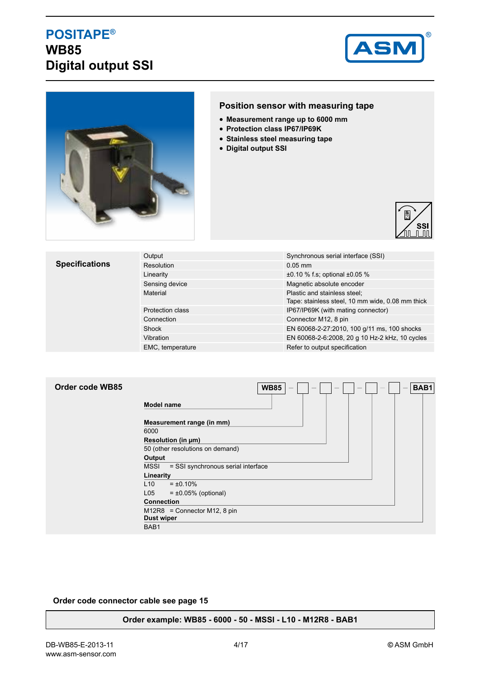## **POSITAPE® WB85 Digital output SSI**





### **Position sensor with measuring tape**

- **Measurement range up to 6000 mm**
- **Protection class IP67/IP69K**
- **Stainless steel measuring tape**
- **Digital output SSI**



#### **Specifications** Output Communication Communication Synchronous serial interface (SSI) Resolution 0.05 mm Linearity  $\pm 0.10$  % f.s; optional  $\pm 0.05$  % Sensing device **Magnetic absolute encoder** Magnetic absolute encoder Material Plastic and stainless steel; Tape: stainless steel, 10 mm wide, 0.08 mm thick Protection class IP67/IP69K (with mating connector) Connection Connection Connection Connection Connection Connection Connection Connection M12, 8 pin Shock EN 60068-2-27:2010, 100 g/11 ms, 100 shocks Vibration EN 60068-2-6:2008, 20 g 10 Hz-2 kHz, 10 cycles EMC, temperature **Refer to output specification**

| Order code WB85 | <b>WB85</b><br>BAB1                                 |
|-----------------|-----------------------------------------------------|
|                 | Model name                                          |
|                 | Measurement range (in mm)                           |
|                 | 6000                                                |
|                 | Resolution (in µm)                                  |
|                 | 50 (other resolutions on demand)                    |
|                 | Output                                              |
|                 | <b>MSSI</b><br>= SSI synchronous serial interface   |
|                 | Linearity                                           |
|                 | L10<br>$= \pm 0.10\%$                               |
|                 | L05<br>$= \pm 0.05\%$ (optional)                    |
|                 | <b>Connection</b>                                   |
|                 | $M12R8 =$ Connector M12, 8 pin<br><b>Dust wiper</b> |
|                 | BAB1                                                |

#### **Order code connector cable see page 15**

**Order example: WB85 - 6000 - 50 - MSSI - L10 - M12R8 - BAB1**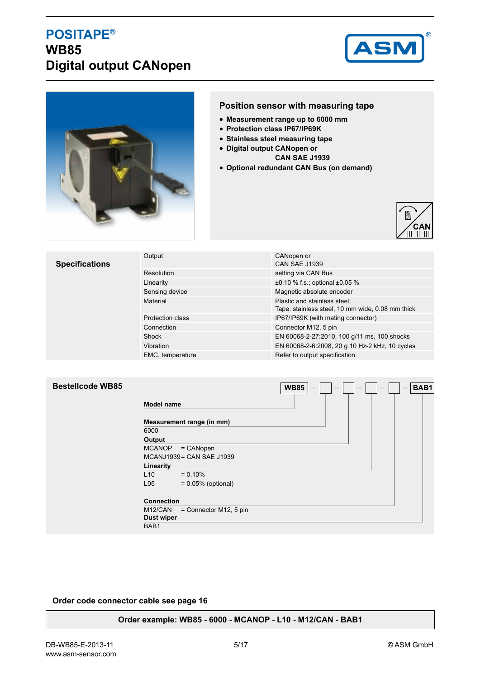## **POSITAPE® WB85 Digital output CANopen**





### **Position sensor with measuring tape**

- **Measurement range up to 6000 mm**
- **Protection class IP67/IP69K**
- **Stainless steel measuring tape**
- **Digital output CANopen or** 
	- **CAN SAE J1939**
- **Optional redundant CAN Bus (on demand)**



## **Specifications**

| Output                  | CANopen or<br><b>CAN SAE J1939</b>                                               |
|-------------------------|----------------------------------------------------------------------------------|
| Resolution              | setting via CAN Bus                                                              |
| Linearity               | $\pm 0.10$ % f.s.; optional $\pm 0.05$ %                                         |
| Sensing device          | Magnetic absolute encoder                                                        |
| Material                | Plastic and stainless steel;<br>Tape: stainless steel, 10 mm wide, 0.08 mm thick |
| <b>Protection class</b> | IP67/IP69K (with mating connector)                                               |
| Connection              | Connector M12, 5 pin                                                             |
| Shock                   | EN 60068-2-27:2010, 100 g/11 ms, 100 shocks                                      |
| Vibration               | EN 60068-2-6:2008, 20 g 10 Hz-2 kHz, 10 cycles                                   |
| EMC, temperature        | Refer to output specification                                                    |

 $WBB5$  –  $\Box$  –  $\Box$  –  $\Box$  – **BAB1** 

### **Bestellcode WB85**

| <b>Model name</b>         |  |  |  |  |  |
|---------------------------|--|--|--|--|--|
| Measurement range (in mm) |  |  |  |  |  |
|                           |  |  |  |  |  |
|                           |  |  |  |  |  |
| $=$ CANopen               |  |  |  |  |  |
| MCANJ1939 = CAN SAE J1939 |  |  |  |  |  |
|                           |  |  |  |  |  |
| $= 0.10%$                 |  |  |  |  |  |
| $= 0.05\%$ (optional)     |  |  |  |  |  |
| <b>Connection</b>         |  |  |  |  |  |
| = Connector M12, 5 pin    |  |  |  |  |  |
| <b>Dust wiper</b>         |  |  |  |  |  |
|                           |  |  |  |  |  |
|                           |  |  |  |  |  |

#### **Order code connector cable see page 16**

#### **Order example: WB85 - 6000 - MCANOP - L10 - M12/CAN - BAB1**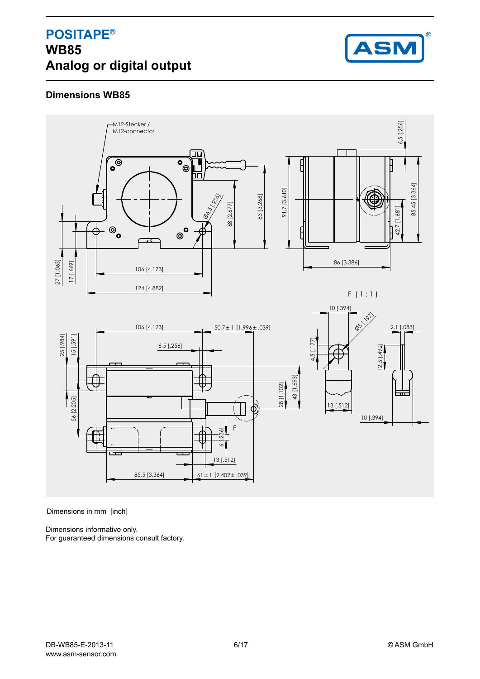## **POSITAPE® WB85 Analog or digital output**



## **Dimensions WB85**



Dimensions in mm [inch]

Dimensions informative only. For guaranteed dimensions consult factory.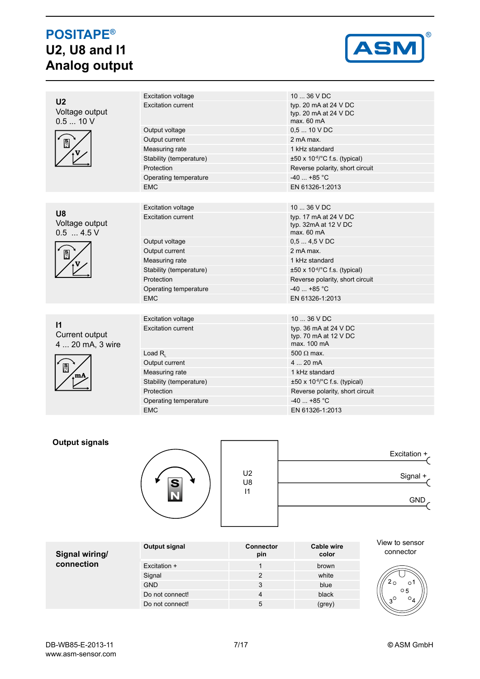# **POSITAPE® U2, U8 and I1 Analog output**



| U <sub>2</sub>                                     | <b>Excitation voltage</b> | 10  36 V DC                                                          |
|----------------------------------------------------|---------------------------|----------------------------------------------------------------------|
| Voltage output<br>0.510V                           | <b>Excitation current</b> | typ. 20 $mA$ at 24 $V$ DC<br>typ. 20 $mA$ at 24 $V$ DC<br>max. 60 mA |
|                                                    | Output voltage            | $0.510$ V DC                                                         |
| $\frac{S}{N}$                                      | Output current            | 2 mA max.                                                            |
|                                                    | Measuring rate            | 1 kHz standard                                                       |
|                                                    | Stability (temperature)   | ±50 x 10-6/°C f.s. (typical)                                         |
|                                                    | Protection                | Reverse polarity, short circuit                                      |
|                                                    | Operating temperature     | $-40$ +85 °C                                                         |
|                                                    | <b>EMC</b>                | EN 61326-1:2013                                                      |
|                                                    |                           |                                                                      |
|                                                    | <b>Excitation voltage</b> | 10  36 V DC                                                          |
| U8<br>Voltage output<br>$0.5$ 4.5 V                | <b>Excitation current</b> | typ. 17 $mA$ at 24 $V$ DC<br>typ. $32mA$ at $12 V$ DC<br>max. 60 mA  |
| $\frac{S}{N}$                                      | Output voltage            | $0.54.5$ VDC                                                         |
|                                                    | Output current            | 2 mA max.                                                            |
|                                                    | Measuring rate            | 1 kHz standard                                                       |
|                                                    | Stability (temperature)   | $\pm 50 \times 10^{-6}$ C f.s. (typical)                             |
|                                                    | Protection                | Reverse polarity, short circuit                                      |
|                                                    | Operating temperature     | $-40$ +85 °C                                                         |
|                                                    | <b>EMC</b>                | EN 61326-1:2013                                                      |
|                                                    |                           |                                                                      |
|                                                    | <b>Excitation voltage</b> | $1036$ V DC                                                          |
| $\mathsf{I}$<br>Current output<br>4  20 mA, 3 wire | <b>Excitation current</b> | typ. 36 $mA$ at 24 $V$ DC<br>typ. 70 mA at 12 V DC<br>max. 100 mA    |
|                                                    | Load $R_{i}$              | 500 $\Omega$ max.                                                    |
|                                                    | Output current            | $420$ mA                                                             |
| $\frac{S}{N}$                                      | Measuring rate            | 1 kHz standard                                                       |
|                                                    | Stability (temperature)   | $\pm 50 \times 10^{-6}$ C f.s. (typical)                             |
|                                                    | Protection                | Reverse polarity, short circuit                                      |
|                                                    | Operating temperature     | $-40$ +85 °C                                                         |
|                                                    | <b>EMC</b>                | EN 61326-1:2013                                                      |

### **Output signals**



| Excitation $+$ |                      |
|----------------|----------------------|
| Signal +       | U <sub>2</sub><br>U8 |
| <b>GND</b>     | 11                   |
|                |                      |

| Signal wiring/ | Output signal   | <b>Connector</b><br>pin | Cable wire<br>color | View to sensor<br>connector    |
|----------------|-----------------|-------------------------|---------------------|--------------------------------|
| connection     | Excitation +    |                         | brown               |                                |
|                | Signal          | ົ                       | white               |                                |
|                | <b>GND</b>      | 3                       | blue                | O                              |
|                | Do not connect! | 4                       | black               | $\circ$ 5<br>$\sim$<br>$\circ$ |
|                | Do not connect! | 5                       | (grey)              |                                |

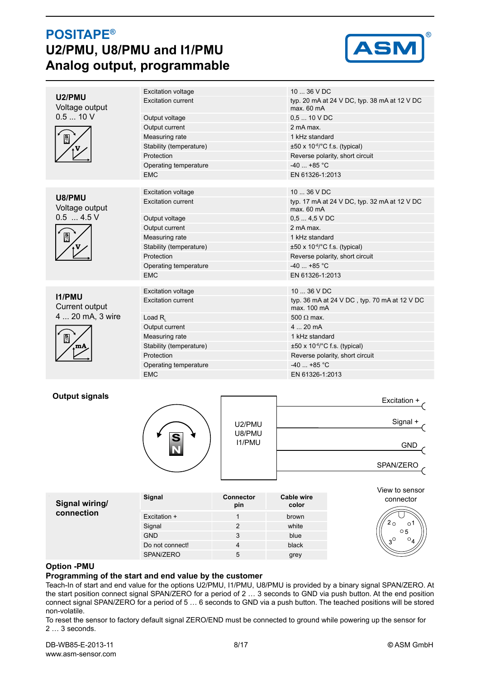## **POSITAPE® U2/PMU, U8/PMU and I1/PMU Analog output, programmable**



|                          | <b>Excitation voltage</b> | $1036$ VDC                                                  |
|--------------------------|---------------------------|-------------------------------------------------------------|
| U2/PMU<br>Voltage output | <b>Excitation current</b> | typ. 20 mA at 24 V DC, typ. 38 mA at 12 V DC<br>max.60 mA   |
| 0.510V                   | Output voltage            | $0,510$ V DC                                                |
|                          | Output current            | 2 mA max.                                                   |
| $\frac{S}{N}$            | Measuring rate            | 1 kHz standard                                              |
|                          | Stability (temperature)   | $\pm 50 \times 10^{-6}$ C f.s. (typical)                    |
|                          | Protection                | Reverse polarity, short circuit                             |
|                          | Operating temperature     | $-40+85$ °C                                                 |
|                          | <b>EMC</b>                | EN 61326-1:2013                                             |
|                          |                           |                                                             |
| U8/PMU                   | <b>Excitation voltage</b> | $1036$ V DC                                                 |
| Voltage output           | <b>Excitation current</b> | typ. 17 mA at 24 V DC, typ. 32 mA at 12 V DC<br>max. 60 mA  |
| $0.5 - 4.5$ V            | Output voltage            | $0.54.5$ VDC                                                |
|                          | Output current            | 2 mA max.                                                   |
| $\frac{S}{N}$            | Measuring rate            | 1 kHz standard                                              |
|                          | Stability (temperature)   | $\pm 50 \times 10^{-6}$ °C f.s. (typical)                   |
|                          | Protection                | Reverse polarity, short circuit                             |
|                          | Operating temperature     | $-40$ +85 °C                                                |
|                          | <b>EMC</b>                | EN 61326-1:2013                                             |
|                          |                           |                                                             |
| 11/PMU                   | <b>Excitation voltage</b> | 10  36 V DC                                                 |
| Current output           | <b>Excitation current</b> | typ. 36 mA at 24 V DC, typ. 70 mA at 12 V DC<br>max. 100 mA |
| 4  20 mA, 3 wire         | Load $R_{i}$              | 500 $\Omega$ max.                                           |
|                          | Output current            | 420mA                                                       |
| $\frac{S}{N}$            | Measuring rate            | 1 kHz standard                                              |
|                          | Stability (temperature)   | $\pm 50 \times 10^{-6}$ C f.s. (typical)                    |
|                          | Protection                | Reverse polarity, short circuit                             |
|                          | Operating temperature     | $-40$ +85 °C                                                |
|                          | <b>EMC</b>                | EN 61326-1:2013                                             |

#### **Output signals**



|                  | Excitation + |
|------------------|--------------|
| U2/PMU<br>U8/PMU | Signal +     |
| <b>I1/PMU</b>    | <b>GND</b>   |
|                  | SPAN/ZERO    |

| Signal wiring/ | Signal          | <b>Connector</b><br>pin | Cable wire<br>color | View to sensor<br>connector |
|----------------|-----------------|-------------------------|---------------------|-----------------------------|
| connection     | Excitation +    |                         | brown               |                             |
|                | Signal          |                         | white               |                             |
|                | <b>GND</b>      |                         | blue                | $\circ$ 5<br>$\Omega$<br>O. |
|                | Do not connect! | Λ                       | black               |                             |
|                | SPAN/ZERO       | 5                       | grey                |                             |

#### **Option -PMU**

### **Programming of the start and end value by the customer**

Teach-In of start and end value for the options U2/PMU, I1/PMU, U8/PMU is provided by a binary signal SPAN/ZERO. At the start position connect signal SPAN/ZERO for a period of 2 … 3 seconds to GND via push button. At the end position connect signal SPAN/ZERO for a period of 5 … 6 seconds to GND via a push button. The teached positions will be stored non-volatile.

To reset the sensor to factory default signal ZERO/END must be connected to ground while powering up the sensor for 2 … 3 seconds.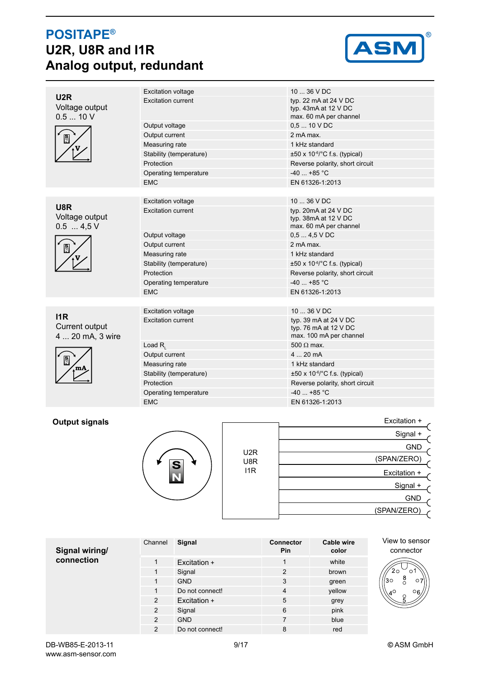# **POSITAPE® U2R, U8R and I1R Analog output, redundant**



|                                              | <b>Excitation voltage</b> | 10  36 V DC                                                               |
|----------------------------------------------|---------------------------|---------------------------------------------------------------------------|
| U <sub>2</sub> R<br>Voltage output<br>0.510V | <b>Excitation current</b> | typ. 22 mA at 24 V DC<br>typ. 43mA at 12 V DC<br>max. 60 mA per channel   |
|                                              | Output voltage            | $0.510$ V DC                                                              |
| $\frac{1}{\sqrt{2}}$                         | Output current            | 2 mA max.                                                                 |
|                                              | Measuring rate            | 1 kHz standard                                                            |
|                                              | Stability (temperature)   | $\pm 50 \times 10^{-6}$ C f.s. (typical)                                  |
|                                              | Protection                | Reverse polarity, short circuit                                           |
|                                              | Operating temperature     | $-40$ +85 °C                                                              |
|                                              | <b>EMC</b>                | EN 61326-1:2013                                                           |
|                                              |                           |                                                                           |
| U8R                                          | <b>Excitation voltage</b> | 10  36 V DC                                                               |
| Voltage output<br>$0.5$ 4,5 V                | <b>Excitation current</b> | typ. 20mA at 24 V DC<br>typ. 38mA at 12 V DC<br>max. 60 mA per channel    |
|                                              | Output voltage            | $0,54,5$ VDC                                                              |
| $\frac{S}{N}$                                | Output current            | 2 mA max.                                                                 |
|                                              | Measuring rate            | 1 kHz standard                                                            |
|                                              | Stability (temperature)   | $\pm 50 \times 10^{-6}$ C f.s. (typical)                                  |
|                                              | Protection                | Reverse polarity, short circuit                                           |
|                                              | Operating temperature     | $-40$ +85 °C                                                              |
|                                              | <b>EMC</b>                | EN 61326-1:2013                                                           |
|                                              |                           |                                                                           |
| 11R                                          | <b>Excitation voltage</b> | 10  36 V DC                                                               |
| Current output<br>4  20 mA, 3 wire           | <b>Excitation current</b> | typ. 39 mA at 24 V DC<br>typ. 76 mA at 12 V DC<br>max. 100 mA per channel |
|                                              | Load $R_i$                | $500 \Omega$ max.                                                         |
|                                              | Output current            | 420mA                                                                     |
|                                              | Measuring rate            | 1 kHz standard                                                            |
|                                              | Stability (temperature)   | $\pm 50 \times 10^{-6}$ C f.s. (typical)                                  |
|                                              | Protection                | Reverse polarity, short circuit                                           |
|                                              | Operating temperature     | $-40$ +85 °C                                                              |
|                                              | <b>EMC</b>                | EN 61326-1:2013                                                           |
|                                              |                           |                                                                           |

### **Output signals**



|                  | Excitation + |
|------------------|--------------|
|                  | Signal +     |
| U <sub>2</sub> R | <b>GND</b>   |
| U8R              | (SPAN/ZERO)  |
| l1R              | Excitation + |
|                  | Signal +     |
|                  | <b>GND</b>   |
|                  | (SPAN/ZERO)  |
|                  |              |

| Signal wiring/ | Channel        | Signal          | <b>Connector</b><br>Pin | Cable wire<br>color | View to sensor<br>connector       |
|----------------|----------------|-----------------|-------------------------|---------------------|-----------------------------------|
| connection     |                | Excitation +    |                         | white               |                                   |
|                |                | Signal          | 2                       | brown               | 20<br>О                           |
|                |                | <b>GND</b>      | 3                       | green               | $_{\circ}^8$<br>130<br>$\circ$ 7  |
|                |                | Do not connect! | 4                       | yellow              | $\circ$ <sub>6</sub><br>$4^\circ$ |
|                | $\overline{2}$ | Excitation +    | 5                       | grey                | $\frac{6}{5}$                     |
|                | $\overline{2}$ | Signal          | 6                       | pink                |                                   |
|                | $\overline{2}$ | <b>GND</b>      | 7                       | blue                |                                   |
|                | $\overline{2}$ | Do not connect! | 8                       | red                 |                                   |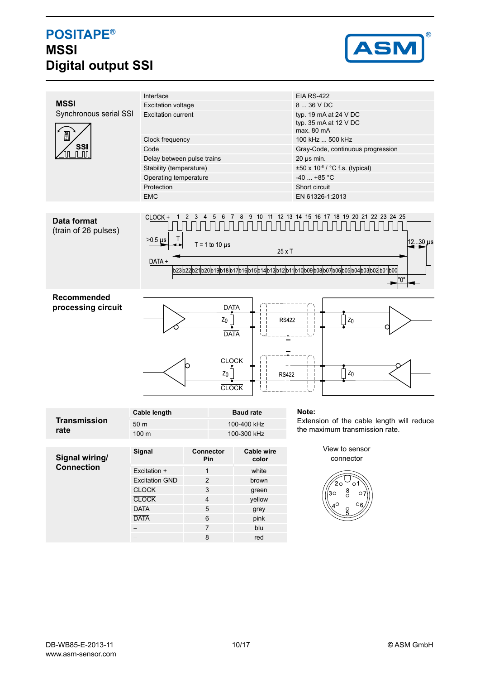# **POSITAPE® MSSI Digital output SSI**



|                        | Interface                           |                                                                          |                   | <b>EIA RS-422</b>                                           |
|------------------------|-------------------------------------|--------------------------------------------------------------------------|-------------------|-------------------------------------------------------------|
| <b>MSSI</b>            | <b>Excitation voltage</b>           |                                                                          |                   | 8  36 V DC                                                  |
| Synchronous serial SSI | <b>Excitation current</b>           |                                                                          |                   | typ. 19 mA at 24 V DC                                       |
|                        |                                     |                                                                          |                   | typ. 35 mA at 12 V DC<br>max. 80 mA                         |
| $\frac{S}{N}$          |                                     |                                                                          |                   | 100 kHz  500 kHz                                            |
| <b>SSI</b>             | Clock frequency<br>Code             |                                                                          |                   |                                                             |
|                        |                                     | Delay between pulse trains                                               |                   | Gray-Code, continuous progression                           |
|                        |                                     |                                                                          |                   | $20 \mu s$ min.                                             |
|                        | Stability (temperature)             |                                                                          |                   | $\pm 50 \times 10^{-6}$ / °C f.s. (typical)<br>$-40$ +85 °C |
|                        | Operating temperature<br>Protection |                                                                          |                   |                                                             |
|                        | <b>EMC</b>                          |                                                                          |                   | Short circuit<br>EN 61326-1:2013                            |
|                        |                                     |                                                                          |                   |                                                             |
|                        |                                     |                                                                          |                   |                                                             |
| <b>Data format</b>     | CLOCK +                             |                                                                          | 10                | 12 13 14 15 16 17 18 19 20 21 22 23 24 25                   |
| (train of 26 pulses)   |                                     |                                                                          |                   |                                                             |
|                        | $\geq$ 0,5 µs                       | $T = 1$ to 10 $\mu$ s                                                    |                   | $12 \cdot 30 \mu s$                                         |
|                        |                                     |                                                                          | $25 \times T$     |                                                             |
|                        | DATA +                              |                                                                          |                   |                                                             |
|                        |                                     | b23b22b21b20b19b18b17b16b15b14b13b12b11b10b09b08b07b06b05b04b03b02b01b00 |                   |                                                             |
|                        |                                     |                                                                          |                   | '0"                                                         |
|                        |                                     |                                                                          |                   |                                                             |
| Recommended            |                                     |                                                                          |                   |                                                             |
| processing circuit     | <b>DATA</b>                         |                                                                          |                   |                                                             |
|                        | $Z_0$<br>$z_0$<br><b>RS422</b>      |                                                                          |                   |                                                             |
|                        |                                     | <b>DATA</b>                                                              |                   |                                                             |
|                        |                                     |                                                                          |                   |                                                             |
|                        |                                     |                                                                          |                   |                                                             |
|                        |                                     |                                                                          | <b>CLOCK</b>      |                                                             |
|                        |                                     | $z_0$                                                                    |                   | $z_0$                                                       |
|                        |                                     |                                                                          | <b>RS422</b>      |                                                             |
|                        |                                     |                                                                          | <b>CLOCK</b>      |                                                             |
|                        |                                     |                                                                          |                   |                                                             |
|                        | <b>Cable length</b>                 |                                                                          | <b>Baud rate</b>  | Note:                                                       |
| <b>Transmission</b>    | 50 <sub>m</sub>                     |                                                                          | 100-400 kHz       | Extension of the cable length will reduce                   |
| rate                   | 100 <sub>m</sub>                    |                                                                          | 100-300 kHz       | the maximum transmission rate.                              |
|                        |                                     |                                                                          |                   |                                                             |
|                        | Signal                              | Connector                                                                | <b>Cable wire</b> | View to sensor                                              |
| Signal wiring/         |                                     | Pin                                                                      | color             | connector                                                   |
| <b>Connection</b>      | Excitation +                        | $\mathbf{1}$                                                             | white             |                                                             |
|                        | <b>Excitation GND</b>               | $\overline{\mathbf{c}}$                                                  | brown             |                                                             |
|                        | <b>CLOCK</b>                        | 3                                                                        | green             | 20<br>$\circ$ 1<br>$_{\circ}^8$                             |
|                        | <b>CLOCK</b>                        | 4                                                                        | yellow            | 30 <sup>o</sup><br>$\circ$ 7                                |
|                        | <b>DATA</b>                         | $\mathbf 5$                                                              | grey              | $\circ$ <sub>6</sub><br>лO                                  |
|                        | <b>DATA</b>                         | 6                                                                        | pink              |                                                             |
|                        |                                     |                                                                          |                   |                                                             |

− 7 blu − **8** red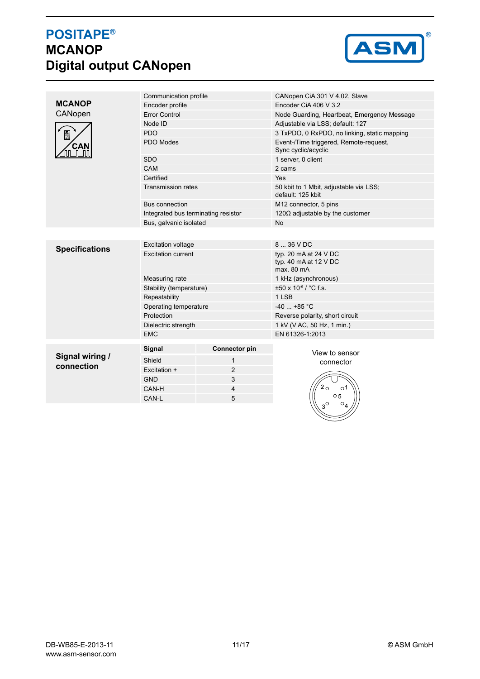# **POSITAPE® MCANOP Digital output CANopen**



|                       | Communication profile               |                      | CANopen CiA 301 V 4.02, Slave                                 |
|-----------------------|-------------------------------------|----------------------|---------------------------------------------------------------|
| <b>MCANOP</b>         | Encoder profile                     |                      | Encoder CiA 406 V 3.2                                         |
| CANopen               | <b>Error Control</b>                |                      | Node Guarding, Heartbeat, Emergency Message                   |
|                       | Node ID                             |                      | Adjustable via LSS; default: 127                              |
| $\frac{S}{N}$         | <b>PDO</b>                          |                      | 3 TxPDO, 0 RxPDO, no linking, static mapping                  |
| CAN                   | PDO Modes                           |                      | Event-/Time triggered, Remote-request,<br>Sync cyclic/acyclic |
|                       | <b>SDO</b>                          |                      | 1 server, 0 client                                            |
|                       | CAM                                 |                      | 2 cams                                                        |
|                       | Certified                           |                      | Yes                                                           |
|                       | <b>Transmission rates</b>           |                      | 50 kbit to 1 Mbit, adjustable via LSS;<br>default: 125 kbit   |
|                       | <b>Bus connection</b>               |                      | M12 connector, 5 pins                                         |
|                       | Integrated bus terminating resistor |                      | 120 $\Omega$ adjustable by the customer                       |
|                       | Bus, galvanic isolated              |                      | <b>No</b>                                                     |
|                       |                                     |                      |                                                               |
| <b>Specifications</b> | <b>Excitation voltage</b>           |                      | 8  36 V DC                                                    |
|                       | <b>Excitation current</b>           |                      | typ. 20 mA at 24 V DC<br>typ. 40 mA at 12 V DC<br>max. 80 mA  |
|                       | Measuring rate                      |                      | 1 kHz (asynchronous)                                          |
|                       | Stability (temperature)             |                      | ±50 x 10-6 / °C f.s.                                          |
|                       | Repeatability                       |                      | 1 LSB                                                         |
|                       | Operating temperature               |                      | $-40$ $+85$ °C                                                |
|                       | Protection                          |                      | Reverse polarity, short circuit                               |
|                       | Dielectric strength                 |                      | 1 kV (V AC, 50 Hz, 1 min.)                                    |
|                       | <b>EMC</b>                          |                      | EN 61326-1:2013                                               |
|                       | Signal                              | <b>Connector pin</b> | View to sensor                                                |
| Signal wiring /       | Shield                              | $\mathbf{1}$         | connector                                                     |
| connection            | Excitation +                        | $\overline{2}$       |                                                               |
|                       | <b>GND</b>                          | 3                    |                                                               |
|                       | CAN-H                               | 4                    | 2 0<br>் 1                                                    |
|                       | CAN-L                               | 5                    | $\circ$ 5                                                     |
|                       |                                     |                      | $\circ_4$                                                     |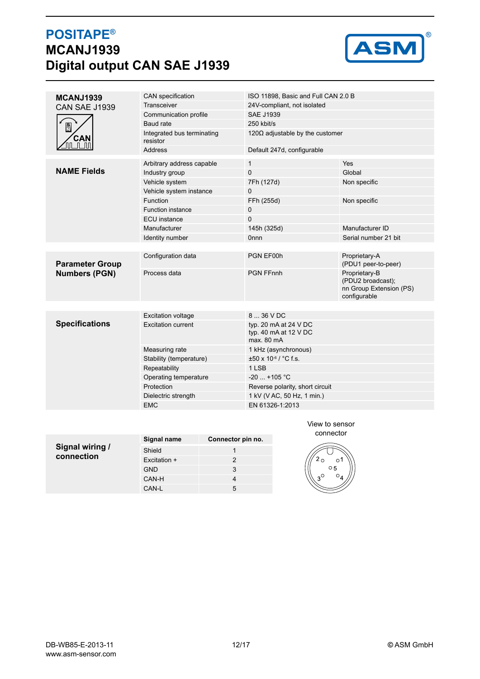# **POSITAPE® MCANJ1939 Digital output CAN SAE J1939**



| MCANJ1939              | CAN specification                      | ISO 11898, Basic and Full CAN 2.0 B                          |                                                                               |  |
|------------------------|----------------------------------------|--------------------------------------------------------------|-------------------------------------------------------------------------------|--|
| <b>CAN SAE J1939</b>   | Transceiver                            | 24V-compliant, not isolated                                  |                                                                               |  |
|                        | Communication profile                  | <b>SAE J1939</b>                                             |                                                                               |  |
| $\frac{1}{2}$          | Baud rate                              | 250 kbit/s                                                   |                                                                               |  |
| CAN                    | Integrated bus terminating<br>resistor | 120 $\Omega$ adjustable by the customer                      |                                                                               |  |
|                        | <b>Address</b>                         | Default 247d, configurable                                   |                                                                               |  |
|                        | Arbitrary address capable              | $\mathbf{1}$                                                 | Yes                                                                           |  |
| <b>NAME Fields</b>     | Industry group                         | 0                                                            | Global                                                                        |  |
|                        | Vehicle system                         | 7Fh (127d)                                                   | Non specific                                                                  |  |
|                        | Vehicle system instance                | 0                                                            |                                                                               |  |
|                        | <b>Function</b>                        | FFh (255d)                                                   | Non specific                                                                  |  |
|                        | <b>Function instance</b>               | 0                                                            |                                                                               |  |
|                        | <b>ECU</b> instance                    | $\overline{0}$                                               |                                                                               |  |
|                        | Manufacturer                           | 145h (325d)                                                  | Manufacturer ID                                                               |  |
|                        | Identity number                        | <b>Onnn</b>                                                  | Serial number 21 bit                                                          |  |
|                        |                                        |                                                              |                                                                               |  |
| <b>Parameter Group</b> | Configuration data                     | PGN EF00h                                                    | Proprietary-A<br>(PDU1 peer-to-peer)                                          |  |
| <b>Numbers (PGN)</b>   | Process data                           | <b>PGN FFnnh</b>                                             | Proprietary-B<br>(PDU2 broadcast);<br>nn Group Extension (PS)<br>configurable |  |
|                        |                                        |                                                              |                                                                               |  |
|                        | <b>Excitation voltage</b>              | 8  36 V DC                                                   |                                                                               |  |
| <b>Specifications</b>  | <b>Excitation current</b>              | typ. 20 mA at 24 V DC<br>typ. 40 mA at 12 V DC<br>max. 80 mA |                                                                               |  |
|                        | Measuring rate                         | 1 kHz (asynchronous)                                         |                                                                               |  |
|                        | Stability (temperature)                | ±50 x 10-6 / °C f.s.                                         |                                                                               |  |
|                        | Repeatability                          | 1 LSB                                                        |                                                                               |  |
|                        | Operating temperature                  | $-20$ $+105$ °C                                              |                                                                               |  |
|                        | Protection                             | Reverse polarity, short circuit                              |                                                                               |  |
|                        | Dielectric strength                    | 1 kV (V AC, 50 Hz, 1 min.)                                   |                                                                               |  |
|                        | <b>EMC</b>                             | EN 61326-1:2013                                              |                                                                               |  |
|                        |                                        |                                                              |                                                                               |  |
|                        |                                        | View to sensor                                               |                                                                               |  |

|                 | Signal name  | Connector pin no. |
|-----------------|--------------|-------------------|
| Signal wiring / | Shield       |                   |
| connection      | Excitation + |                   |
|                 | <b>GND</b>   | 3                 |
|                 | CAN-H        | 4                 |
|                 | CAN-L        | 5                 |

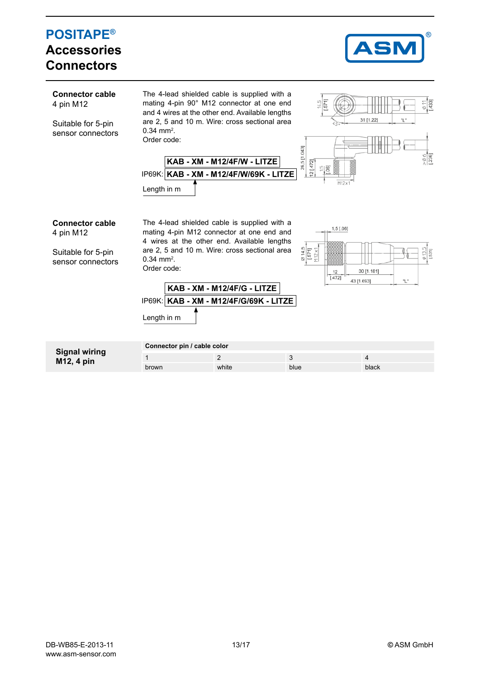#### **POSITAPE®** S **Accessories ConnectorsConnector cable** The 4-lead shielded cable is supplied with a mating 4-pin 90° M12 connector at one end 4331 4 pin M12 and 4 wires at the other end. Available lengths 31 [1.22 are 2, 5 and 10 m. Wire: cross sectional area Suitable for 5-pin  $0.34 \text{ mm}^2$ . sensor connectors Order code: 26,5 [1.043] **KAB - XM - M12/4F/W - LITZE**  $12 [472]$ **KAB - XM - M12/4F/W/69K - LITZE** IP69K: Length in m **Connector cable** The 4-lead shielded cable is supplied with a  $1,5$  [.06] mating 4-pin M12 connector at one end and 4 pin M12 4 wires at the other end. Available lengths  $\frac{614,5}{571}$ <br>M12 x1 are 2, 5 and 10 m. Wire: cross sectional area Suitable for 5-pin  $0.34 \; \text{mm}^2.$ sensor connectors Order code:  $12$ 30 [1.181]  $1.4721$ 43 [1.693] ٠Ļ. **KAB - XM - M12/4F/G - LITZE KAB - XM - M12/4F/G/69K - LITZE** IP69K: Length in m **Connector pin / cable color Signal wiring** 1 2 3 4 **M12, 4 pin** brown white blue blue blue black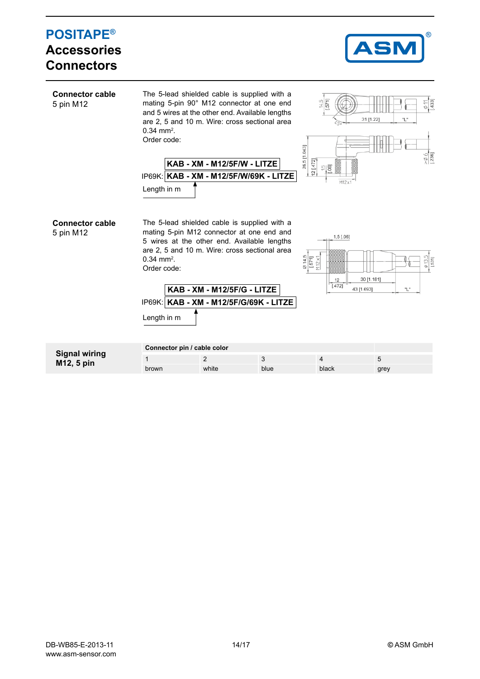| <b>POSITAPE®</b><br><b>Accessories</b><br><b>Connectors</b> |                                                        |                                                                                                                                                                                                                              |                                          |                                                                                    | ®<br><b>ASM</b>                                                      |
|-------------------------------------------------------------|--------------------------------------------------------|------------------------------------------------------------------------------------------------------------------------------------------------------------------------------------------------------------------------------|------------------------------------------|------------------------------------------------------------------------------------|----------------------------------------------------------------------|
| <b>Connector cable</b><br>5 pin M12                         | $0.34$ mm <sup>2</sup> .<br>Order code:<br>Length in m | The 5-lead shielded cable is supplied with a<br>mating 5-pin 90° M12 connector at one end<br>and 5 wires at the other end. Available lengths<br>are 2, 5 and 10 m. Wire: cross sectional area<br>KAB - XM - M12/5F/W - LITZE | IP69K: KAB - XM - M12/5F/W/69K - LITZE   | $\frac{14.5}{571}$<br>26,5 [1.043]<br>[2[472]<br>$\frac{15}{106}$<br>M12x          | $\frac{\text{6}}{\text{143}}$<br>31 [1.22]<br>"L<br>$\frac{6}{1236}$ |
| <b>Connector cable</b><br>5 pin M12                         | $0.34$ mm <sup>2</sup> .<br>Order code:<br>Length in m | The 5-lead shielded cable is supplied with a<br>mating 5-pin M12 connector at one end and<br>5 wires at the other end. Available lengths<br>are 2, 5 and 10 m. Wire: cross sectional area<br>KAB - XM - M12/5F/G - LITZE     | IP69K:   KAB - XM - M12/5F/G/69K - LITZE | $1,5$ [.06]<br>$\frac{614,5}{15711}$<br>$\frac{1571}{12 \times 1}$<br>12<br>[.472] | $\frac{\phi}{1531}$<br>30 [1.181]<br>43 [1.693]<br>"L"               |
| <b>Signal wiring</b><br>M12, 5 pin                          | $\mathbf 1$                                            | Connector pin / cable color<br>$\overline{2}$                                                                                                                                                                                | 3                                        | $\overline{4}$                                                                     | 5                                                                    |
|                                                             | brown                                                  | white                                                                                                                                                                                                                        | blue                                     | black                                                                              | grey                                                                 |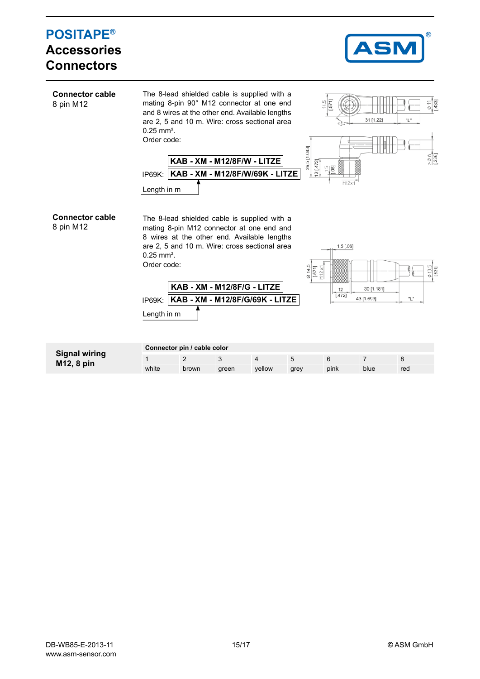#### **POSITAPE® Accessories Connectors Connector cable** The 8-lead shielded cable is supplied with a mating 8-pin 90° M12 connector at one end  $\frac{1}{331}$ 8 pin M12 and 8 wires at the other end. Available lengths are 2, 5 and 10 m. Wire: cross sectional area 31 [1.22] 0.25 mm². Order code: 26,5 [1.043] **KAB - XM - M12/8F/W - LITZE** 12 [.472]  $\cup$ **GT KAB - XM - M12/8F/W/69K - LITZE** IP69K: Length in m **Connector cable** The 8-lead shielded cable is supplied with a 8 pin M12 mating 8-pin M12 connector at one end and 8 wires at the other end. Available lengths are 2, 5 and 10 m. Wire: cross sectional area  $1,5$  [.06] 0.25 mm². Order code:  $571$  $112x$ **KAB - XM - M12/8F/G - LITZE** 30 [1.181]  $\frac{12}{[.472]}$ 43 [1.693] "L" **KAB - XM - M12/8F/G/69K - LITZE** IP69K: Length in m

| <b>Signal wiring</b><br>M12, 8 pin | Connector pin / cable color |       |       |        |      |      |      |     |  |  |
|------------------------------------|-----------------------------|-------|-------|--------|------|------|------|-----|--|--|
|                                    |                             |       |       |        |      |      |      |     |  |  |
|                                    | white                       | brown | areen | vellow | grey | pink | blue | red |  |  |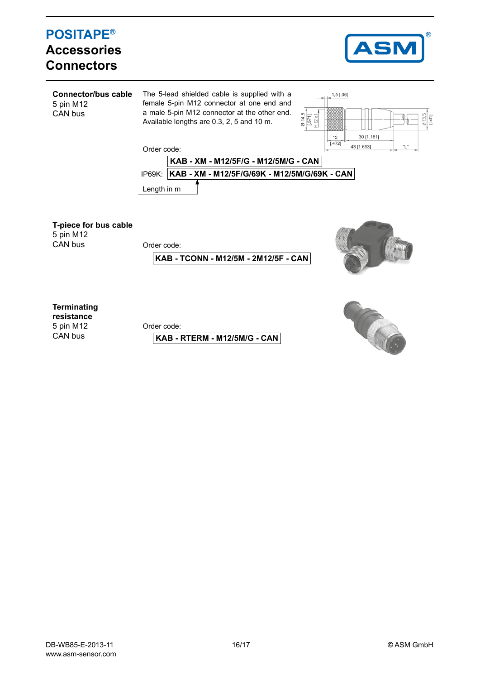## **POSITAPE® Accessories Connectors**



**Connector/bus cable** The 5-lead shielded cable is supplied with a female 5-pin M12 connector at one end and 5 pin M12 a male 5-pin M12 connector at the other end. CAN bus  $\frac{\emptyset 14,5}{[.571]}$   $\frac{[.571]}{[.912 \times 1]}$ Available lengths are 0.3, 2, 5 and 10 m.



Order code:



**T-piece for bus cable**

5 pin M12<br>CAN bus

Order code:

**KAB - TCONN - M12/5M - 2M12/5F - CAN**



**Terminating**

**resistance** 5 pin M12 CAN bus

Order code:

**KAB - RTERM - M12/5M/G - CAN**